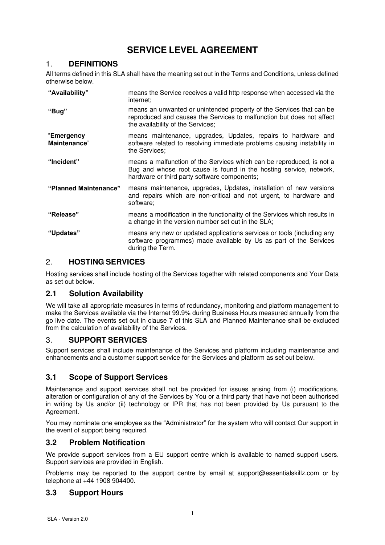# **SERVICE LEVEL AGREEMENT**

# 1. **DEFINITIONS**

All terms defined in this SLA shall have the meaning set out in the Terms and Conditions, unless defined otherwise below.

| "Availability"             | means the Service receives a valid http response when accessed via the<br>internet:                                                                                                         |
|----------------------------|---------------------------------------------------------------------------------------------------------------------------------------------------------------------------------------------|
| "Bug"                      | means an unwanted or unintended property of the Services that can be<br>reproduced and causes the Services to malfunction but does not affect<br>the availability of the Services;          |
| "Emergency<br>Maintenance" | means maintenance, upgrades, Updates, repairs to hardware and<br>software related to resolving immediate problems causing instability in<br>the Services;                                   |
| "Incident"                 | means a malfunction of the Services which can be reproduced, is not a<br>Bug and whose root cause is found in the hosting service, network,<br>hardware or third party software components; |
| "Planned Maintenance"      | means maintenance, upgrades, Updates, installation of new versions<br>and repairs which are non-critical and not urgent, to hardware and<br>software;                                       |
| "Release"                  | means a modification in the functionality of the Services which results in<br>a change in the version number set out in the SLA;                                                            |
| "Updates"                  | means any new or updated applications services or tools (including any<br>software programmes) made available by Us as part of the Services<br>during the Term.                             |

# 2. **HOSTING SERVICES**

Hosting services shall include hosting of the Services together with related components and Your Data as set out below.

# **2.1 Solution Availability**

We will take all appropriate measures in terms of redundancy, monitoring and platform management to make the Services available via the Internet 99.9% during Business Hours measured annually from the go live date. The events set out in clause 7 of this SLA and Planned Maintenance shall be excluded from the calculation of availability of the Services.

# 3. **SUPPORT SERVICES**

Support services shall include maintenance of the Services and platform including maintenance and enhancements and a customer support service for the Services and platform as set out below.

# **3.1 Scope of Support Services**

Maintenance and support services shall not be provided for issues arising from (i) modifications, alteration or configuration of any of the Services by You or a third party that have not been authorised in writing by Us and/or (ii) technology or IPR that has not been provided by Us pursuant to the Agreement.

You may nominate one employee as the "Administrator" for the system who will contact Our support in the event of support being required.

# **3.2 Problem Notification**

We provide support services from a EU support centre which is available to named support users. Support services are provided in English.

Problems may be reported to the support centre by email at support@essentialskillz.com or by telephone at +44 1908 904400.

# **3.3 Support Hours**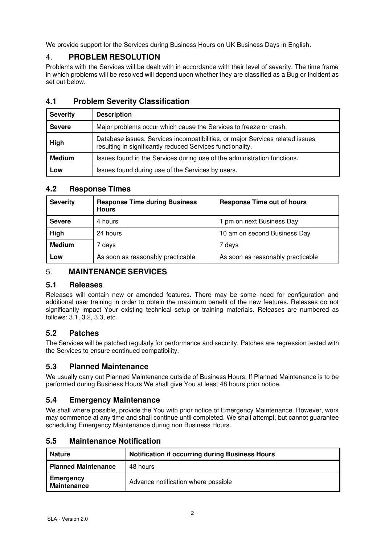We provide support for the Services during Business Hours on UK Business Days in English.

# 4. **PROBLEM RESOLUTION**

Problems with the Services will be dealt with in accordance with their level of severity. The time frame in which problems will be resolved will depend upon whether they are classified as a Bug or Incident as set out below.

# **4.1 Problem Severity Classification**

| <b>Severity</b> | <b>Description</b>                                                                                                                          |
|-----------------|---------------------------------------------------------------------------------------------------------------------------------------------|
| <b>Severe</b>   | Major problems occur which cause the Services to freeze or crash.                                                                           |
| High            | Database issues, Services incompatibilities, or major Services related issues<br>resulting in significantly reduced Services functionality. |
| <b>Medium</b>   | Issues found in the Services during use of the administration functions.                                                                    |
| Low             | Issues found during use of the Services by users.                                                                                           |

#### **4.2 Response Times**

| <b>Severity</b> | <b>Response Time during Business</b><br><b>Hours</b> | <b>Response Time out of hours</b> |
|-----------------|------------------------------------------------------|-----------------------------------|
| <b>Severe</b>   | 4 hours                                              | 1 pm on next Business Day         |
| High            | 24 hours                                             | 10 am on second Business Day      |
| <b>Medium</b>   | 7 days                                               | 7 days                            |
| Low             | As soon as reasonably practicable                    | As soon as reasonably practicable |

### 5. **MAINTENANCE SERVICES**

#### **5.1 Releases**

Releases will contain new or amended features. There may be some need for configuration and additional user training in order to obtain the maximum benefit of the new features. Releases do not significantly impact Your existing technical setup or training materials. Releases are numbered as follows: 3.1, 3.2, 3.3, etc.

# **5.2 Patches**

The Services will be patched regularly for performance and security. Patches are regression tested with the Services to ensure continued compatibility.

# **5.3 Planned Maintenance**

We usually carry out Planned Maintenance outside of Business Hours. If Planned Maintenance is to be performed during Business Hours We shall give You at least 48 hours prior notice.

# **5.4 Emergency Maintenance**

We shall where possible, provide the You with prior notice of Emergency Maintenance. However, work may commence at any time and shall continue until completed. We shall attempt, but cannot guarantee scheduling Emergency Maintenance during non Business Hours.

| <b>Nature</b>                          | <b>Notification if occurring during Business Hours</b> |
|----------------------------------------|--------------------------------------------------------|
| <b>Planned Maintenance</b>             | 48 hours                                               |
| <b>Emergency</b><br><b>Maintenance</b> | Advance notification where possible                    |

#### **5.5 Maintenance Notification**